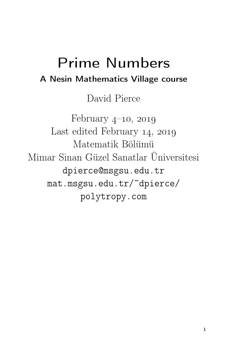# Prime Numbers A Nesin Mathematics Village course

David Pierce

February  $4$ –10, 2019 Last edited February  $14, 2019$ Matematik Bölümü Mimar Sinan Güzel Sanatlar Üniversitesi dpierce@msgsu.edu.tr mat.msgsu.edu.tr/~dpierce/ polytropy.com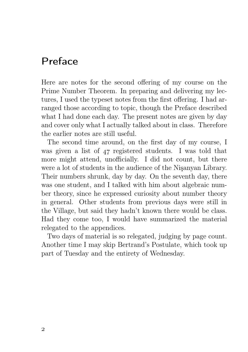## Preface

Here are notes for the second offering of my course on the Prime Number Theorem. In preparing and delivering my lectures, I used the typeset notes from the first offering. I had arranged those according to topic, though the Preface described what I had done each day. The present notes are given by day and cover only what I actually talked about in class. Therefore the earlier notes are still useful.

The second time around, on the first day of my course, I was given a list of  $47$  registered students. I was told that more might attend, unofficially. I did not count, but there were a lot of students in the audience of the Nişanyan Library. Their numbers shrunk, day by day. On the seventh day, there was one student, and I talked with him about algebraic number theory, since he expressed curiosity about number theory in general. Other students from previous days were still in the Village, but said they hadn't known there would be class. Had they come too, I would have summarized the material relegated to the appendices.

Two days of material is so relegated, judging by page count. Another time I may skip Bertrand's Postulate, which took up part of Tuesday and the entirety of Wednesday.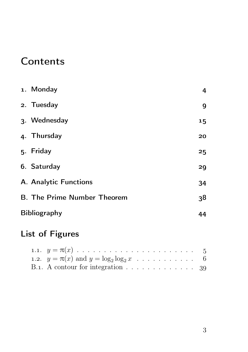## **Contents**

| 1. Monday                          | 4  |
|------------------------------------|----|
| 2. Tuesday                         | 9  |
| 3. Wednesday                       | 15 |
| 4. Thursday                        | 20 |
| 5. Friday                          | 25 |
| 6. Saturday                        | 29 |
| A. Analytic Functions              | 34 |
| <b>B. The Prime Number Theorem</b> | 38 |
| <b>Bibliography</b>                | 44 |

## List of Figures

| 1.2. $y = \pi(x)$ and $y = \log_2 \log_2 x$ 6                          |  |  |  |  |  |  |
|------------------------------------------------------------------------|--|--|--|--|--|--|
| B.1. A contour for integration $\ldots \ldots \ldots \ldots \ldots$ 39 |  |  |  |  |  |  |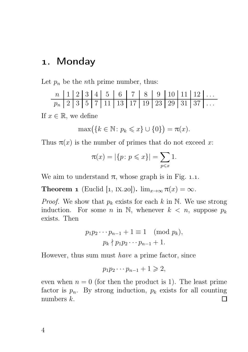### . Monday

Let  $p_n$  be the *n*th prime number, thus:

If  $x \in \mathbb{R}$ , we define

$$
\max(\{k \in \mathbb{N} \colon p_k \leqslant x\} \cup \{0\}) = \pi(x).
$$

Thus  $\pi(x)$  is the number of primes that do not exceed x:

$$
\pi(x) = |\{p \colon p \leq x\}| = \sum_{p \leq x} 1.
$$

We aim to understand  $\pi$ , whose graph is in Fig. 1.1.

**Theorem 1** (Euclid [1, IX.20]).  $\lim_{x\to\infty} \pi(x) = \infty$ .

*Proof.* We show that  $p_k$  exists for each k in N. We use strong induction. For some n in N, whenever  $k < n$ , suppose  $p_k$ exists. Then

$$
p_1 p_2 \cdots p_{n-1} + 1 \equiv 1 \pmod{p_k},
$$
  

$$
p_k \nmid p_1 p_2 \cdots p_{n-1} + 1.
$$

However, thus sum must have a prime factor, since

$$
p_1p_2\cdots p_{n-1}+1\geqslant 2,
$$

even when  $n = 0$  (for then the product is 1). The least prime factor is  $p_n$ . By strong induction,  $p_k$  exists for all counting numbers k.  $\Box$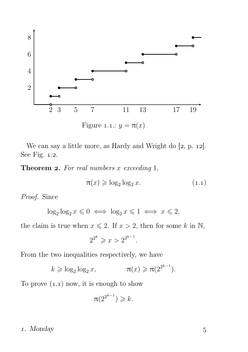

We can say a little more, as Hardy and Wright do  $[2, p. 12]$ . See Fig.  $1.2$ .

**Theorem 2.** For real numbers  $x$  exceeding 1,

$$
\pi(x) \geqslant \log_2 \log_2 x. \tag{1.1}
$$

Proof. Since

$$
\log_2 \log_2 x \leq 0 \iff \log_2 x \leq 1 \iff x \leq 2,
$$

the claim is true when  $x \le 2$ . If  $x > 2$ , then for some k in N,

$$
2^{2^k} \geqslant x > 2^{2^{k-1}}.
$$

From the two inequalities respectively, we have

$$
k \geqslant \log_2 \log_2 x, \qquad \qquad \pi(x) \geqslant \pi(2^{2^{k-1}}).
$$

To prove  $(1.1)$  now, it is enough to show

$$
\pi(2^{2^{k-1}}) \geqslant k.
$$

#### . Monday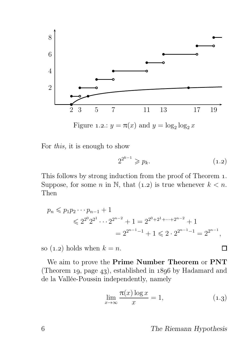

Figure 1.2.:  $y = \pi(x)$  and  $y = \log_2 \log_2 x$ 



$$
2^{2^{k-1}} \geqslant p_k. \tag{1.2}
$$

This follows by strong induction from the proof of Theorem 1. Suppose, for some n in N, that (1.2) is true whenever  $k < n$ . Then

$$
p_n \leq p_1 p_2 \cdots p_{n-1} + 1
$$
  
\n
$$
\leq 2^{2^0} 2^{2^1} \cdots 2^{2^{n-2}} + 1 = 2^{2^0 + 2^1 + \cdots + 2^{n-2}} + 1
$$
  
\n
$$
= 2^{2^{n-1}-1} + 1 \leq 2 \cdot 2^{2^{n-1}-1} = 2^{2^{n-1}},
$$

so  $(1.2)$  holds when  $k = n$ .

We aim to prove the Prime Number Theorem or PNT (Theorem 19, page 43), established in  $1896$  by Hadamard and de la Vallée-Poussin independently, namely

$$
\lim_{x \to \infty} \frac{\pi(x) \log x}{x} = 1,\tag{1.3}
$$

#### The Riemann Hypothesis

 $\Box$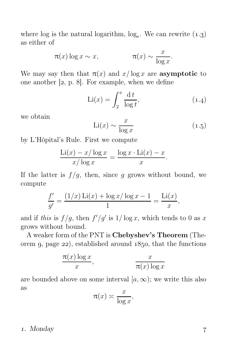where log is the natural logarithm,  $log_e$ . We can rewrite  $(1.3)$ as either of

$$
\pi(x) \log x \sim x, \qquad \qquad \pi(x) \sim \frac{x}{\log x}.
$$

We may say then that  $\pi(x)$  and  $x/\log x$  are **asymptotic** to one another  $[z, p. 8]$ . For example, when we define

$$
\text{Li}(x) = \int_{2}^{x} \frac{\mathrm{d}t}{\log t},\tag{1.4}
$$

we obtain

$$
\text{Li}(x) \sim \frac{x}{\log x} \tag{1.5}
$$

by L'Hôpital's Rule. First we compute

$$
\frac{\text{Li}(x) - x/\log x}{x/\log x} = \frac{\log x \cdot \text{Li}(x) - x}{x}.
$$

If the latter is  $f/g$ , then, since g grows without bound, we compute

$$
\frac{f'}{g'} = \frac{(1/x)\,\text{Li}(x) + \log x/\log x - 1}{1} = \frac{\text{Li}(x)}{x},
$$

and if this is  $f/g$ , then  $f'/g'$  is  $1/\log x$ , which tends to 0 as x grows without bound.

A weaker form of the PNT is Chebyshev's Theorem (Theorem 9, page  $22$ , established around  $1850$ , that the functions

$$
\frac{\pi(x) \log x}{x}, \qquad \frac{x}{\pi(x) \log x}
$$

are bounded above on some interval  $[a, \infty)$ ; we write this also as

$$
\pi(x) \asymp \frac{x}{\log x},
$$

#### . Monday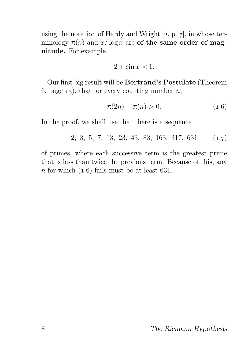using the notation of Hardy and Wright  $[2, p, 7]$ , in whose terminology  $\pi(x)$  and  $x/\log x$  are of the same order of magnitude. For example

$$
2 + \sin x \simeq 1.
$$

Our first big result will be Bertrand's Postulate (Theorem 6, page 15), that for every counting number n,

$$
\pi(2n) - \pi(n) > 0.
$$
 (1.6)

In the proof, we shall use that there is a sequence

 $2, 3, 5, 7, 13, 23, 43, 83, 163, 317, 631$  (1.7)

of primes, where each successive term is the greatest prime that is less than twice the previous term. Because of this, any n for which  $(1.6)$  fails must be at least 631.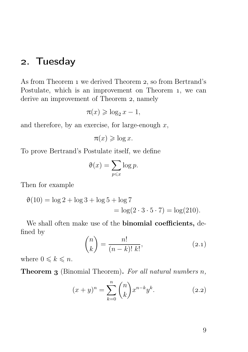### . Tuesday

As from Theorem 1 we derived Theorem 2, so from Bertrand's Postulate, which is an improvement on Theorem 1, we can derive an improvement of Theorem 2, namely

$$
\pi(x) \geqslant \log_2 x - 1,
$$

and therefore, by an exercise, for large-enough  $x$ ,

```
\pi(x) \geqslant \log x.
```
To prove Bertrand's Postulate itself, we define

$$
\vartheta(x) = \sum_{p \leqslant x} \log p.
$$

Then for example

$$
\vartheta(10) = \log 2 + \log 3 + \log 5 + \log 7
$$
  
=  $\log(2 \cdot 3 \cdot 5 \cdot 7) = \log(210)$ .

We shall often make use of the **binomial coefficients**, defined by

$$
\binom{n}{k} = \frac{n!}{(n-k)! \ k!},\tag{2.1}
$$

where  $0 \leq k \leq n$ .

**Theorem 3** (Binomial Theorem). For all natural numbers  $n$ ,

$$
(x+y)^n = \sum_{k=0}^n \binom{n}{k} x^{n-k} y^k.
$$
 (2.2)

9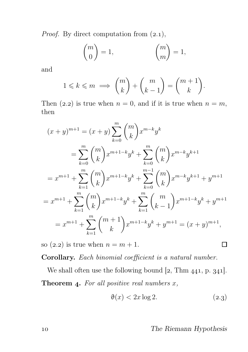*Proof.* By direct computation from  $(2.1)$ ,

$$
\binom{m}{0} = 1, \qquad \binom{m}{m} = 1,
$$

and

$$
1 \leq k \leq m \implies {m \choose k} + {m \choose k-1} = {m+1 \choose k}.
$$

Then (2.2) is true when  $n = 0$ , and if it is true when  $n = m$ , then

$$
(x + y)^{m+1} = (x + y) \sum_{k=0}^{m} {m \choose k} x^{m-k} y^k
$$
  
\n
$$
= \sum_{k=0}^{m} {m \choose k} x^{m+1-k} y^k + \sum_{k=0}^{m} {m \choose k} x^{m-k} y^{k+1}
$$
  
\n
$$
= x^{m+1} + \sum_{k=1}^{m} {m \choose k} x^{m+1-k} y^k + \sum_{k=0}^{m-1} {m \choose k} x^{m-k} y^{k+1} + y^{m+1}
$$
  
\n
$$
= x^{m+1} + \sum_{k=1}^{m} {m \choose k} x^{m+1-k} y^k + \sum_{k=1}^{m} {m \choose k-1} x^{m+1-k} y^k + y^{m+1}
$$
  
\n
$$
= x^{m+1} + \sum_{k=1}^{m} {m+1 \choose k} x^{m+1-k} y^k + y^{m+1} = (x + y)^{m+1},
$$

so (2.2) is true when  $n = m + 1$ .

Corollary. Each binomial coefficient is a natural number.

We shall often use the following bound  $[2, Thm 441, p. 341]$ . **Theorem 4.** For all positive real numbers  $x$ ,

$$
\vartheta(x) < 2x \log 2. \tag{2.3}
$$

#### The Riemann Hypothesis

 $\Box$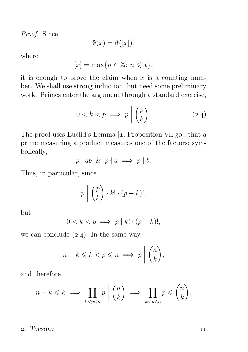Proof. Since

$$
\vartheta(x) = \vartheta([x]),
$$

where

$$
[x] = \max\{n \in \mathbb{Z} \colon n \leqslant x\},\
$$

it is enough to prove the claim when  $x$  is a counting number. We shall use strong induction, but need some preliminary work. Primes enter the argument through a standard exercise,

$$
0 < k < p \implies p \mid \binom{p}{k}.\tag{2.4}
$$

The proof uses Euclid's Lemma  $[1,$  Proposition VII.30, that a prime measuring a product measures one of the factors; symbolically,

$$
p \mid ab \And p \nmid a \implies p \mid b.
$$

Thus, in particular, since

$$
p \mid \binom{p}{k} \cdot k! \cdot (p-k)!,
$$

but

$$
0 < k < p \implies p \nmid k! \cdot (p - k)!,
$$

we can conclude  $(2.4)$ . In the same way,

$$
n-k \leq k < p \leq n \implies p \mid \binom{n}{k},
$$

and therefore

$$
n-k \leq k \implies \prod_{k
$$

2. Tuesday 11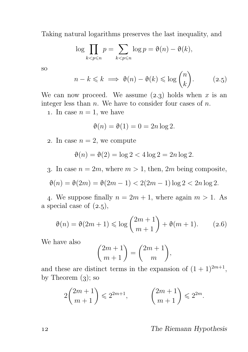Taking natural logarithms preserves the last inequality, and

$$
\log \prod_{k < p \leqslant n} p = \sum_{k < p \leqslant n} \log p = \vartheta(n) - \vartheta(k),
$$

so

$$
n - k \leq k \implies \vartheta(n) - \vartheta(k) \leq \log \binom{n}{k}.
$$
 (2.5)

We can now proceed. We assume  $(2.3)$  holds when x is an integer less than  $n$ . We have to consider four cases of  $n$ .

1. In case  $n = 1$ , we have

$$
\vartheta(n) = \vartheta(1) = 0 = 2n \log 2.
$$

2. In case  $n = 2$ , we compute

$$
\vartheta(n) = \vartheta(2) = \log 2 < 4\log 2 = 2n\log 2.
$$

3. In case  $n = 2m$ , where  $m > 1$ , then,  $2m$  being composite,

$$
\vartheta(n) = \vartheta(2m) = \vartheta(2m - 1) < 2(2m - 1)\log 2 < 2n \log 2.
$$

4. We suppose finally  $n = 2m + 1$ , where again  $m > 1$ . As a special case of  $(2.5)$ ,

$$
\vartheta(n) = \vartheta(2m+1) \le \log\binom{2m+1}{m+1} + \vartheta(m+1). \tag{2.6}
$$

We have also

$$
\binom{2m+1}{m+1} = \binom{2m+1}{m},
$$

and these are distinct terms in the expansion of  $(1 + 1)^{2m+1}$ , by Theorem  $(3)$ ; so

$$
2\binom{2m+1}{m+1} \leqslant 2^{2m+1}, \qquad \binom{2m+1}{m+1} \leqslant 2^{2m}.
$$

#### The Riemann Hypothesis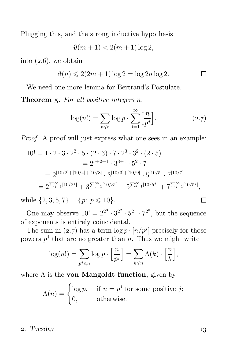Plugging this, and the strong inductive hypothesis

$$
\vartheta(m+1) < 2(m+1)\log 2,
$$

into  $(2.6)$ , we obtain

$$
\vartheta(n) \leqslant 2(2m+1)\log 2 = \log 2n \log 2.
$$

We need one more lemma for Bertrand's Postulate.

**Theorem 5.** For all positive integers  $n$ ,

$$
\log(n!) = \sum_{p \le n} \log p \cdot \sum_{j=1}^{\infty} \left[ \frac{n}{p^j} \right]. \tag{2.7}
$$

Proof. A proof will just express what one sees in an example:

$$
10! = 1 \cdot 2 \cdot 3 \cdot 2^2 \cdot 5 \cdot (2 \cdot 3) \cdot 7 \cdot 2^3 \cdot 3^2 \cdot (2 \cdot 5)
$$
  
=  $2^{5+2+1} \cdot 3^{3+1} \cdot 5^2 \cdot 7$   
=  $2^{[10/2]+[10/4]+[10/8]} \cdot 3^{[10/3]+[10/9]} \cdot 5^{[10/5]} \cdot 7^{[10/7]}$   
=  $2^{\sum_{j=1}^{\infty} [10/2^j]} + 3^{\sum_{j=1}^{\infty} [10/3^j]} + 5^{\sum_{j=1}^{\infty} [10/5^j]} + 7^{\sum_{j=1}^{\infty} [10/5^j]},$ 

while  $\{2, 3, 5, 7\} = \{p : p \leq 10\}.$ 

One may observe  $10! = 2^{2^3} \cdot 3^{2^2} \cdot 5^{2^1} \cdot 7^{2^0}$ , but the sequence of exponents is entirely coincidental.

The sum in (2.7) has a term  $\log p \cdot [n/p^j]$  precisely for those powers  $p^j$  that are no greater than n. Thus we might write

$$
\log(n!) = \sum_{p^j \leqslant n} \log p \cdot \left[\frac{n}{p^j}\right] = \sum_{k \leqslant n} \Lambda(k) \cdot \left[\frac{n}{k}\right],
$$

where  $\Lambda$  is the **von Mangoldt function**, given by

$$
\Lambda(n) = \begin{cases} \log p, & \text{if } n = p^j \text{ for some positive } j; \\ 0, & \text{otherwise.} \end{cases}
$$

#### 2. Tuesday 13

 $\Box$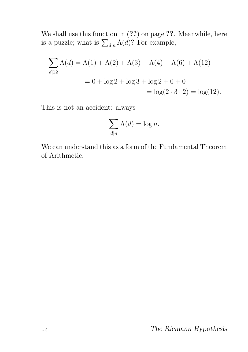We shall use this function in  $(??)$  on page ??. Meanwhile, here is a puzzle; what is  $\sum_{d|n} \Lambda(d)$ ? For example,

$$
\sum_{d|12} \Lambda(d) = \Lambda(1) + \Lambda(2) + \Lambda(3) + \Lambda(4) + \Lambda(6) + \Lambda(12)
$$
  
= 0 + log 2 + log 3 + log 2 + 0 + 0  
= log(2 · 3 · 2) = log(12).

This is not an accident: always

$$
\sum_{d|n} \Lambda(d) = \log n.
$$

We can understand this as a form of the Fundamental Theorem of Arithmetic.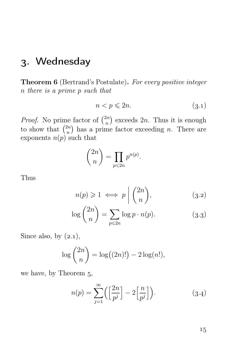## . Wednesday

Theorem 6 (Bertrand's Postulate). For every positive integer n there is a prime p such that

$$
n < p \leqslant 2n. \tag{3.1}
$$

*Proof.* No prime factor of  $\binom{2n}{n}$  $\binom{2n}{n}$  exceeds  $2n$ . Thus it is enough to show that  $\binom{2n}{n}$  $\binom{2n}{n}$  has a prime factor exceeding *n*. There are exponents  $n(p)$  such that

$$
\binom{2n}{n} = \prod_{p \leqslant 2n} p^{n(p)}.
$$

Thus

$$
n(p) \geq 1 \iff p \mid \binom{2n}{n},\tag{3.2}
$$

$$
\log\binom{2n}{n} = \sum_{p\leqslant 2n} \log p \cdot n(p). \tag{3.3}
$$

Since also, by  $(2.1)$ ,

$$
\log\binom{2n}{n} = \log((2n)!) - 2\log(n!),
$$

we have, by Theorem  $5$ ,

$$
n(p) = \sum_{j=1}^{\infty} \left( \left[ \frac{2n}{p^j} \right] - 2 \left[ \frac{n}{p^j} \right] \right). \tag{3.4}
$$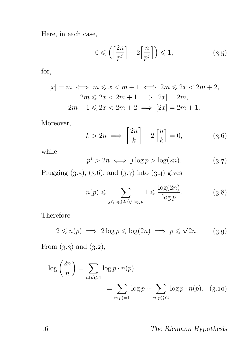Here, in each case,

$$
0 \leqslant \left( \left[ \frac{2n}{p^j} \right] - 2 \left[ \frac{n}{p^j} \right] \right) \leqslant 1,
$$
\n(3.5)

for,

$$
[x] = m \iff m \leq x < m + 1 \iff 2m \leq 2x < 2m + 2,
$$
\n
$$
2m \leq 2x < 2m + 1 \implies [2x] = 2m,
$$
\n
$$
2m + 1 \leq 2x < 2m + 2 \implies [2x] = 2m + 1.
$$

Moreover,

$$
k > 2n \implies \left[\frac{2n}{k}\right] - 2\left[\frac{n}{k}\right] = 0,\tag{3.6}
$$

while

$$
p^j > 2n \iff j \log p > \log(2n). \tag{3.7}
$$

Plugging  $(3.5), (3.6),$  and  $(3.7)$  into  $(3.4)$  gives

$$
n(p) \leqslant \sum_{j \leqslant \log(2n)/\log p} 1 \leqslant \frac{\log(2n)}{\log p}.\tag{3.8}
$$

Therefore

$$
2 \leqslant n(p) \implies 2\log p \leqslant \log(2n) \implies p \leqslant \sqrt{2n}.\tag{3.9}
$$

From  $(3.3)$  and  $(3.2)$ ,

$$
\log {2n \choose n} = \sum_{n(p)\geq 1} \log p \cdot n(p)
$$

$$
= \sum_{n(p)=1} \log p + \sum_{n(p)\geq 2} \log p \cdot n(p). \quad (3.10)
$$

#### The Riemann Hypothesis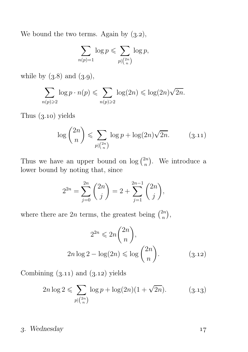We bound the two terms. Again by  $(3.2)$ ,

$$
\sum_{n(p)=1} \log p \leqslant \sum_{p \mid \binom{2n}{n}} \log p,
$$

while by  $(3.8)$  and  $(3.9)$ ,

$$
\sum_{n(p)\geqslant 2} \log p \cdot n(p) \leqslant \sum_{n(p)\geqslant 2} \log(2n) \leqslant \log(2n)\sqrt{2n}.
$$

Thus  $(3.10)$  yields

$$
\log\binom{2n}{n} \leqslant \sum_{p\mid\binom{2n}{n}} \log p + \log(2n)\sqrt{2n}.\tag{3.11}
$$

Thus we have an upper bound on  $\log {2n \choose n}$  $\binom{2n}{n}$ . We introduce a lower bound by noting that, since

$$
2^{2n} = \sum_{j=0}^{2n} \binom{2n}{j} = 2 + \sum_{j=1}^{2n-1} \binom{2n}{j},
$$

where there are 2n terms, the greatest being  $\binom{2n}{n}$  $\binom{2n}{n},$ 

$$
2^{2n} \leq 2n \binom{2n}{n},
$$
  
 
$$
2n \log 2 - \log(2n) \leq \log \binom{2n}{n}.
$$
 (3.12)

Combining  $(3.11)$  and  $(3.12)$  yields

$$
2n \log 2 \leqslant \sum_{p \mid \binom{2n}{n}} \log p + \log(2n)(1 + \sqrt{2n}).\tag{3.13}
$$

#### . Wednesday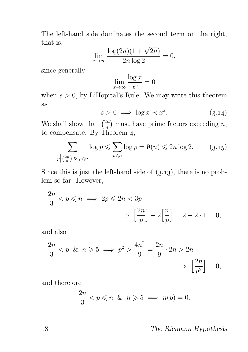The left-hand side dominates the second term on the right, that is,

$$
\lim_{x \to \infty} \frac{\log(2n)(1 + \sqrt{2n})}{2n \log 2} = 0,
$$

since generally

$$
\lim_{x \to \infty} \frac{\log x}{x^s} = 0
$$

when  $s > 0$ , by L'Hôpital's Rule. We may write this theorem as

$$
s > 0 \implies \log x \prec x^s. \tag{3.14}
$$

We shall show that  $\binom{2n}{n}$  $\binom{2n}{n}$  must have prime factors exceeding *n*, to compensate. By Theorem  $4$ ,

$$
\sum_{p \mid \binom{2n}{n} \text{~&~} p \leqslant n} \log p \leqslant \sum_{p \leqslant n} \log p = \vartheta(n) \leqslant 2n \log 2. \tag{3.15}
$$

Since this is just the left-hand side of  $(3.13)$ , there is no problem so far. However,

$$
\frac{2n}{3} < p \leqslant n \implies 2p \leqslant 2n < 3p
$$
\n
$$
\implies \left[\frac{2n}{p}\right] - 2\left[\frac{n}{p}\right] = 2 - 2 \cdot 1 = 0,
$$

and also

$$
\frac{2n}{3} < p \quad \& n \geqslant 5 \implies p^2 > \frac{4n^2}{9} = \frac{2n}{9} \cdot 2n > 2n
$$
\n
$$
\implies \left[\frac{2n}{p^2}\right] = 0,
$$

and therefore

$$
\frac{2n}{3} < p \leqslant n \quad \& n \geqslant 5 \implies n(p) = 0.
$$

#### The Riemann Hypothesis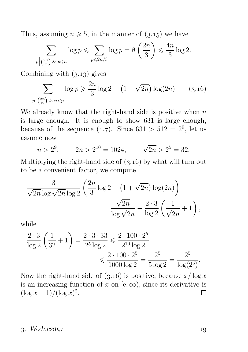Thus, assuming  $n \geq 5$ , in the manner of  $(3.15)$  we have

$$
\sum_{p \mid \binom{2n}{n} \text{ for } p \leqslant n} \log p \leqslant \sum_{p \leqslant 2n/3} \log p = \vartheta \left( \frac{2n}{3} \right) \leqslant \frac{4n}{3} \log 2.
$$

Combining with  $(3.13)$  gives

$$
\sum_{p \mid \binom{2n}{n} \& n < p} \log p \geq \frac{2n}{3} \log 2 - \left( 1 + \sqrt{2n} \right) \log(2n). \tag{3.16}
$$

We already know that the right-hand side is positive when  $n$ is large enough. It is enough to show 631 is large enough, because of the sequence  $(1.7)$ . Since  $631 > 512 = 2<sup>9</sup>$ , let us assume now

$$
n > 2^9
$$
,  $2n > 2^{10} = 1024$ ,  $\sqrt{2n} > 2^5 = 32$ .

Multiplying the right-hand side of  $(3.16)$  by what will turn out to be a convenient factor, we compute

$$
\frac{3}{\sqrt{2n}\log\sqrt{2n}\log 2} \left(\frac{2n}{3}\log 2 - \left(1 + \sqrt{2n}\right)\log(2n)\right)
$$

$$
= \frac{\sqrt{2n}}{\log\sqrt{2n}} - \frac{2\cdot 3}{\log 2} \left(\frac{1}{\sqrt{2n}} + 1\right),
$$

while

$$
\frac{2 \cdot 3}{\log 2} \left( \frac{1}{32} + 1 \right) = \frac{2 \cdot 3 \cdot 33}{2^5 \log 2} \le \frac{2 \cdot 100 \cdot 2^5}{2^{10} \log 2} \le \frac{2 \cdot 100 \cdot 2^5}{1000 \log 2} = \frac{2^5}{5 \log 2} = \frac{2^5}{\log(2^5)}.
$$

Now the right-hand side of  $(3.16)$  is positive, because  $x/\log x$ is an increasing function of x on [e,  $\infty$ ), since its derivative is  $(\log x - 1)/(\log x)^2$ .  $(\log x - 1)/(\log x)^2$ .

#### . Wednesday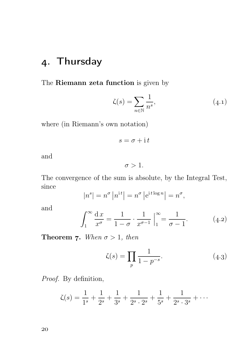## . Thursday

The Riemann zeta function is given by

$$
\zeta(s) = \sum_{n \in \mathbb{N}} \frac{1}{n^s},\tag{4.1}
$$

where (in Riemann's own notation)

$$
s = \sigma + \mathrm{i} t
$$

and

 $\sigma > 1$ .

The convergence of the sum is absolute, by the Integral Test, since

$$
|n^s| = n^{\sigma} |n^{it}| = n^{\sigma} |e^{it \log n}| = n^{\sigma},
$$

and

$$
\int_{1}^{\infty} \frac{\mathrm{d}x}{x^{\sigma}} = \frac{1}{1-\sigma} \cdot \frac{1}{x^{\sigma-1}} \Big|_{1}^{\infty} = \frac{1}{\sigma-1}.
$$
 (4.2)

**Theorem 7.** When  $\sigma > 1$ , then

$$
\zeta(s) = \prod_{p} \frac{1}{1 - p^{-s}}.\tag{4.3}
$$

Proof. By definition,

$$
\zeta(s) = \frac{1}{1^s} + \frac{1}{2^s} + \frac{1}{3^s} + \frac{1}{2^s \cdot 2^s} + \frac{1}{5^s} + \frac{1}{2^s \cdot 3^s} + \cdots
$$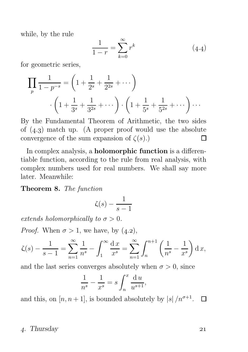while, by the rule

$$
\frac{1}{1-r} = \sum_{k=0}^{\infty} r^k
$$
 (4.4)

for geometric series,

$$
\prod_{p} \frac{1}{1 - p^{-s}} = \left( 1 + \frac{1}{2^s} + \frac{1}{2^{2s}} + \cdots \right)
$$

$$
\cdot \left( 1 + \frac{1}{3^s} + \frac{1}{3^{2s}} + \cdots \right) \cdot \left( 1 + \frac{1}{5^s} + \frac{1}{5^{2s}} + \cdots \right) \cdots
$$

By the Fundamental Theorem of Arithmetic, the two sides of  $(4.3)$  match up. (A proper proof would use the absolute convergence of the sum expansion of  $\zeta(s)$ .) П

In complex analysis, a **holomorphic function** is a differentiable function, according to the rule from real analysis, with complex numbers used for real numbers. We shall say more later. Meanwhile:

Theorem 8. The function

$$
\zeta(s) - \frac{1}{s-1}
$$

extends holomorphically to  $\sigma > 0$ .

*Proof.* When  $\sigma > 1$ , we have, by  $(4.2)$ ,

$$
\zeta(s) - \frac{1}{s-1} = \sum_{n=1}^{\infty} \frac{1}{n^s} - \int_1^{\infty} \frac{dx}{x^s} = \sum_{n=1}^{\infty} \int_n^{n+1} \left( \frac{1}{n^s} - \frac{1}{x^s} \right) dx,
$$

and the last series converges absolutely when  $\sigma > 0$ , since

$$
\frac{1}{n^s} - \frac{1}{x^s} = s \int_n^x \frac{\mathrm{d}u}{u^{s+1}},
$$

and this, on  $[n, n+1]$ , is bounded absolutely by  $|s|/n^{\sigma+1}$ .  $\Box$ 

#### . Thursday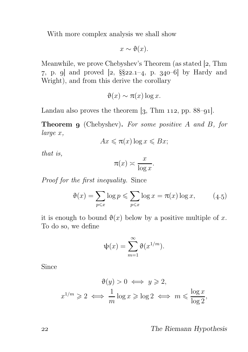With more complex analysis we shall show

$$
x \sim \vartheta(x).
$$

Meanwhile, we prove Chebyshev's Theorem (as stated  $[2, Thm]$ ) 7, p. 9 and proved  $[2, \S_{22.1-4}, p. 340-6]$  by Hardy and Wright), and from this derive the corollary

$$
\vartheta(x) \sim \pi(x) \log x.
$$

Landau also proves the theorem  $\left[3, \text{ Thm } 112, \text{ pp. } 88-91\right]$ .

**Theorem 9** (Chebyshev). For some positive A and B, for large x,

$$
Ax \leqslant \pi(x) \log x \leqslant Bx;
$$

that is,

$$
\pi(x) \asymp \frac{x}{\log x}.
$$

Proof for the first inequality. Since

$$
\vartheta(x) = \sum_{p \leq x} \log p \leq \sum_{p \leq x} \log x = \pi(x) \log x, \qquad (4.5)
$$

it is enough to bound  $\vartheta(x)$  below by a positive multiple of x. To do so, we define

$$
\psi(x) = \sum_{m=1}^{\infty} \vartheta(x^{1/m}).
$$

Since

$$
\vartheta(y) > 0 \iff y \ge 2,
$$
  

$$
x^{1/m} \ge 2 \iff \frac{1}{m} \log x \ge \log 2 \iff m \le \frac{\log x}{\log 2},
$$

#### The Riemann Hypothesis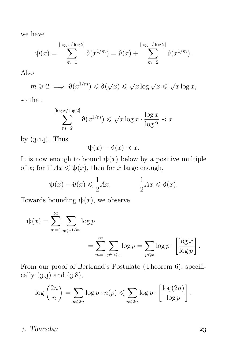we have

$$
\psi(x) = \sum_{m=1}^{\lfloor \log x / \log 2 \rfloor} \vartheta(x^{1/m}) = \vartheta(x) + \sum_{m=2}^{\lfloor \log x / \log 2 \rfloor} \vartheta(x^{1/m}).
$$

Also

$$
m \geqslant 2 \implies \vartheta(x^{1/m}) \leqslant \vartheta(\sqrt{x}) \leqslant \sqrt{x \log \sqrt{x}} \leqslant \sqrt{x \log x},
$$

so that

$$
\sum_{m=2}^{\lceil \log x / \log 2 \rceil} \vartheta(x^{1/m}) \leqslant \sqrt{x \log x} \cdot \frac{\log x}{\log 2} \prec x
$$

by  $(3.14)$ . Thus

$$
\psi(x) - \vartheta(x) \prec x.
$$

It is now enough to bound  $\psi(x)$  below by a positive multiple of x; for if  $Ax \leq \psi(x)$ , then for x large enough,

$$
\psi(x) - \vartheta(x) \leq \frac{1}{2}Ax, \qquad \frac{1}{2}Ax \leq \vartheta(x).
$$

Towards bounding  $\psi(x)$ , we observe

$$
\psi(x) = \sum_{m=1}^{\infty} \sum_{p \leq x^{1/m}} \log p
$$
  
= 
$$
\sum_{m=1}^{\infty} \sum_{p^m \leq x} \log p = \sum_{p \leq x} \log p \cdot \left[ \frac{\log x}{\log p} \right].
$$

From our proof of Bertrand's Postulate (Theorem 6), specifically  $(3.3)$  and  $(3.8)$ ,

$$
\log\binom{2n}{n} = \sum_{p\leqslant 2n} \log p \cdot n(p) \leqslant \sum_{p\leqslant 2n} \log p \cdot \left[\frac{\log(2n)}{\log p}\right].
$$

. Thursday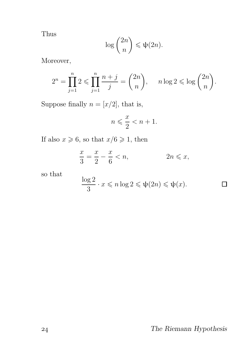Thus

$$
\log\binom{2n}{n}\leqslant\psi(2n).
$$

Moreover,

$$
2^{n} = \prod_{j=1}^{n} 2 \le \prod_{j=1}^{n} \frac{n+j}{j} = \binom{2n}{n}, \quad n \log 2 \le \log \binom{2n}{n}.
$$

Suppose finally  $n = [x/2]$ , that is,

$$
n\leqslant \frac{x}{2}
$$

If also  $x \ge 6$ , so that  $x/6 \ge 1$ , then

$$
\frac{x}{3} = \frac{x}{2} - \frac{x}{6} < n, \qquad 2n \leq x,
$$

so that

$$
\frac{\log 2}{3} \cdot x \leqslant n \log 2 \leqslant \psi(2n) \leqslant \psi(x). \qquad \qquad \Box
$$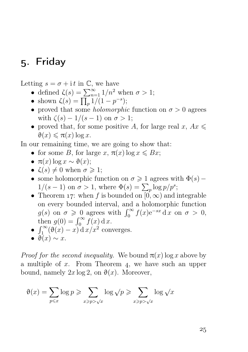## . Friday

Letting  $s = \sigma + i t$  in  $\mathbb{C}$ , we have

- defined  $\zeta(s) = \sum_{n=1}^{\infty} 1/n^2$  when  $\sigma > 1$ ;
- shown  $\zeta(s) = \prod_p 1/(1 p^{-s});$
- proved that some *holomorphic* function on  $\sigma > 0$  agrees with  $\zeta(s) - 1/(s-1)$  on  $\sigma > 1$ ;
- proved that, for some positive A, for large real  $x, Ax \leq$  $\vartheta(x) \leqslant \pi(x) \log x.$

In our remaining time, we are going to show that:

- for some B, for large x,  $\pi(x) \log x \leq Bx$ ;
- $\pi(x) \log x \sim \vartheta(x)$ ;
- $\zeta(s) \neq 0$  when  $\sigma \geq 1$ ;
- some holomorphic function on  $\sigma \geq 1$  agrees with  $\Phi(s)$   $1/(s-1)$  on  $\sigma > 1$ , where  $\Phi(s) = \sum_{p} \log p/p^s$ ;
- Theorem 17: when f is bounded on  $[0, \infty)$  and integrable on every bounded interval, and a holomorphic function  $g(s)$  on  $\sigma \geq 0$  agrees with  $\int_0^\infty f(x) e^{-sx} dx$  on  $\sigma > 0$ , then  $g(0) = \int_0^\infty f(x) dx$ .
- $\int_1^\infty (\vartheta(x) x) dx dx^2$  converges.
- $\bullet$   $\theta(x) \sim x$ .

*Proof for the second inequality.* We bound  $\pi(x)$  log x above by a multiple of  $x$ . From Theorem 4, we have such an upper bound, namely  $2x \log 2$ , on  $\vartheta(x)$ . Moreover,

$$
\vartheta(x) = \sum_{p \leq x} \log p \geq \sum_{x \geq p > \sqrt{x}} \log \sqrt{p} \geq \sum_{x \geq p > \sqrt{x}} \log \sqrt{x}
$$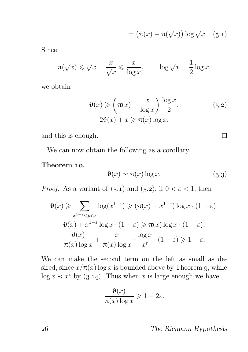$$
= (\pi(x) - \pi(\sqrt{x})) \log \sqrt{x}.
$$
 (5.1)

Since

$$
\pi(\sqrt{x}) \le \sqrt{x} = \frac{x}{\sqrt{x}} \le \frac{x}{\log x}, \qquad \log \sqrt{x} = \frac{1}{2} \log x,
$$

we obtain

$$
\vartheta(x) \geqslant \left(\pi(x) - \frac{x}{\log x}\right) \frac{\log x}{2},
$$
\n
$$
2\vartheta(x) + x \geqslant \pi(x) \log x,
$$
\n
$$
(5.2)
$$

and this is enough.

We can now obtain the following as a corollary.

#### Theorem 10.

$$
\vartheta(x) \sim \pi(x) \log x. \tag{5.3}
$$

 $\Box$ 

*Proof.* As a variant of  $(5.1)$  and  $(5.2)$ , if  $0 < \varepsilon < 1$ , then

$$
\vartheta(x) \geqslant \sum_{x^{1-\varepsilon} < p \leqslant x} \log(x^{1-\varepsilon}) \geqslant (\pi(x) - x^{1-\varepsilon}) \log x \cdot (1-\varepsilon),
$$
\n
$$
\vartheta(x) + x^{1-\varepsilon} \log x \cdot (1-\varepsilon) \geqslant \pi(x) \log x \cdot (1-\varepsilon),
$$
\n
$$
\frac{\vartheta(x)}{\pi(x) \log x} + \frac{x}{\pi(x) \log x} \cdot \frac{\log x}{x^{\varepsilon}} \cdot (1-\varepsilon) \geqslant 1-\varepsilon.
$$

We can make the second term on the left as small as desired, since  $x/\pi(x)$  log x is bounded above by Theorem 9, while  $\log x \prec x^{\varepsilon}$  by (3.14). Thus when x is large enough we have

$$
\frac{\vartheta(x)}{\pi(x)\log x} \geq 1 - 2\varepsilon.
$$

The Riemann Hypothesis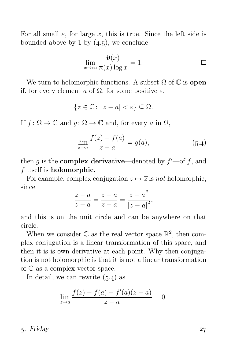For all small  $\varepsilon$ , for large x, this is true. Since the left side is bounded above by 1 by  $(4.5)$ , we conclude

$$
\lim_{x \to \infty} \frac{\vartheta(x)}{\pi(x) \log x} = 1.
$$

We turn to holomorphic functions. A subset  $\Omega$  of  $\mathbb C$  is **open** if, for every element a of  $\Omega$ , for some positive  $\varepsilon$ ,

$$
\{z \in \mathbb{C} \colon |z - a| < \varepsilon\} \subseteq \Omega.
$$

If  $f: \Omega \to \mathbb{C}$  and  $q: \Omega \to \mathbb{C}$  and, for every a in  $\Omega$ ,

$$
\lim_{z \to a} \frac{f(z) - f(a)}{z - a} = g(a),
$$
\n(5.4)

then g is the **complex derivative**—denoted by  $f'$ —of f, and f itself is holomorphic.

For example, complex conjugation  $z \mapsto \overline{z}$  is not holomorphic, since

$$
\frac{\overline{z} - \overline{a}}{z - a} = \frac{\overline{z - a}}{z - a} = \frac{\overline{z - a}^2}{|z - a|^2},
$$

and this is on the unit circle and can be anywhere on that circle.

When we consider  $\mathbb C$  as the real vector space  $\mathbb R^2$ , then complex conjugation is a linear transformation of this space, and then it is is own derivative at each point. Why then conjugation is not holomorphic is that it is not a linear transformation of C as a complex vector space.

In detail, we can rewrite  $(5.4)$  as

$$
\lim_{z \to a} \frac{f(z) - f(a) - f'(a)(z - a)}{z - a} = 0.
$$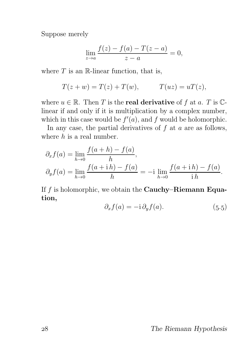Suppose merely

$$
\lim_{z \to a} \frac{f(z) - f(a) - T(z - a)}{z - a} = 0,
$$

where  $T$  is an R-linear function, that is,

$$
T(z + w) = T(z) + T(w), \qquad T(uz) = uT(z),
$$

where  $u \in \mathbb{R}$ . Then T is the **real derivative** of f at a. T is  $\mathbb{C}$ linear if and only if it is multiplication by a complex number, which in this case would be  $f'(a)$ , and f would be holomorphic.

In any case, the partial derivatives of  $f$  at  $a$  are as follows, where  $h$  is a real number.

$$
\partial_x f(a) = \lim_{h \to 0} \frac{f(a+h) - f(a)}{h}, \n\partial_y f(a) = \lim_{h \to 0} \frac{f(a + ih) - f(a)}{h} = -i \lim_{h \to 0} \frac{f(a + ih) - f(a)}{ih}.
$$

If  $f$  is holomorphic, we obtain the **Cauchy–Riemann Equa**tion,

$$
\partial_x f(a) = -\mathrm{i} \, \partial_y f(a). \tag{5.5}
$$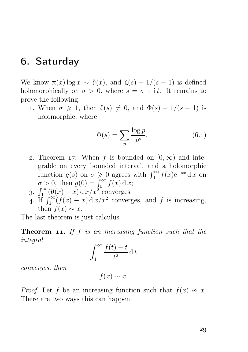### . Saturday

We know  $\pi(x) \log x \sim \vartheta(x)$ , and  $\zeta(s) - 1/(s-1)$  is defined holomorphically on  $\sigma > 0$ , where  $s = \sigma + i t$ . It remains to prove the following.

1. When  $\sigma \geq 1$ , then  $\zeta(s) \neq 0$ , and  $\Phi(s) - 1/(s - 1)$  is holomorphic, where

$$
\Phi(s) = \sum_{p} \frac{\log p}{p^s}.\tag{6.1}
$$

- 2. Theorem 17: When f is bounded on  $[0, \infty)$  and integrable on every bounded interval, and a holomorphic function  $g(s)$  on  $\sigma \geq 0$  agrees with  $\int_0^\infty f(x) e^{-sx} dx$  on  $\sigma > 0$ , then  $g(0) = \int_0^\infty f(x) dx$ ;
- 3.  $\int_1^\infty (\vartheta(x) x) dx/x^2$  converges.
- 4. If  $\int_1^{\infty} (f(x) x) dx dx^2$  converges, and f is increasing, then  $f(x) \sim x$ .

The last theorem is just calculus:

**Theorem 11.** If f is an increasing function such that the integral

$$
\int_{1}^{\infty} \frac{f(t) - t}{t^2} \, \mathrm{d} \, t
$$

converges, then

 $f(x) \sim x$ .

*Proof.* Let f be an increasing function such that  $f(x) \sim x$ . There are two ways this can happen.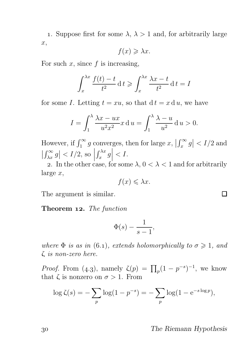1. Suppose first for some  $\lambda$ ,  $\lambda > 1$  and, for arbitrarily large x,

$$
f(x) \geq \lambda x.
$$

For such  $x$ , since  $f$  is increasing,

$$
\int_{x}^{\lambda x} \frac{f(t) - t}{t^2} dt \geqslant \int_{x}^{\lambda x} \frac{\lambda x - t}{t^2} dt = I
$$

for some I. Letting  $t = xu$ , so that  $dt = x du$ , we have

$$
I = \int_1^{\lambda} \frac{\lambda x - ux}{u^2 x^2} dx = \int_1^{\lambda} \frac{\lambda - u}{u^2} du > 0.
$$

However, if  $\int_1^{\infty} g$  converges, then for large  $x, \left| \int_x^{\infty} g \right| < I/2$  and  $\left|\int_{\lambda x}^{\infty} g\right| < I/2$ , so  $\left| \int_{-\infty}^{\infty} g\right| < I/2$ , so  $\left| \int_{-\infty}^{\infty} g\right| < I$  $\int_{x}^{\lambda x} g\Big|$  $\langle I.$ 

2. In the other case, for some  $\lambda$ ,  $0 < \lambda < 1$  and for arbitrarily large x,

$$
f(x) \leq \lambda x.
$$

The argument is similar.

Theorem 12. The function

$$
\Phi(s) - \frac{1}{s-1},
$$

where  $\Phi$  is as in (6.1), extends holomorphically to  $\sigma \geq 1$ , and ζ is non-zero here.

*Proof.* From (4.3), namely  $\zeta(p) = \prod_p (1 - p^{-s})^{-1}$ , we know that  $\zeta$  is nonzero on  $\sigma > 1$ . From

$$
\log \zeta(s) = -\sum_{p} \log(1 - p^{-s}) = -\sum_{p} \log(1 - e^{-s \log p}),
$$

The Riemann Hypothesis

П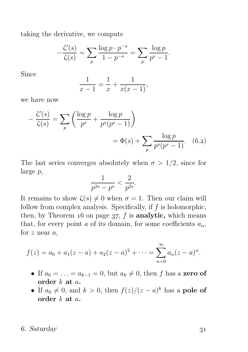taking the derivative, we compute

$$
-\frac{\zeta'(s)}{\zeta(s)} = \sum_{p} \frac{\log p \cdot p^{-s}}{1 - p^{-s}} = \sum_{p} \frac{\log p}{p^s - 1}.
$$

Since

$$
\frac{1}{x-1} = \frac{1}{x} + \frac{1}{x(x-1)},
$$

we have now

$$
-\frac{\zeta'(s)}{\zeta(s)} = \sum_{p} \left( \frac{\log p}{p^s} + \frac{\log p}{p^s(p^s - 1)} \right)
$$

$$
= \Phi(s) + \sum_{p} \frac{\log p}{p^s(p^s - 1)}.
$$
 (6.2)

The last series converges absolutely when  $\sigma > 1/2$ , since for large p,

$$
\frac{1}{p^{2s} - p^s} < \frac{2}{p^{2s}}.
$$

It remains to show  $\zeta(s) \neq 0$  when  $\sigma = 1$ . Then our claim will follow from complex analysis. Specifically, if  $f$  is holomorphic, then, by Theorem 16 on page  $37$ , f is analytic, which means that, for every point  $a$  of its domain, for some coefficients  $a_n$ , for  $z$  near  $a$ ,

$$
f(z) = a_0 + a_1(z - a) + a_2(z - a)^2 + \dots = \sum_{n=0}^{\infty} a_n(z - a)^n.
$$

- If  $a_0 = \ldots = a_{k-1} = 0$ , but  $a_k \neq 0$ , then f has a zero of order k at a.
- If  $a_0 \neq 0$ , and  $k > 0$ , then  $f(z)/(z a)^k$  has a **pole of** order k at a.

#### . Saturday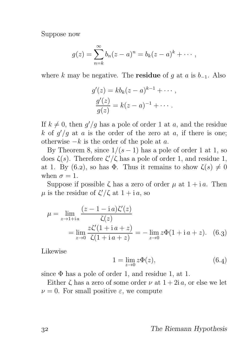Suppose now

$$
g(z) = \sum_{n=k}^{\infty} b_n(z-a)^n = b_k(z-a)^k + \cdots,
$$

where k may be negative. The **residue** of g at a is  $b_{-1}$ . Also

$$
g'(z) = kbk(z-a)k-1 + \cdots,
$$
  
\n
$$
\frac{g'(z)}{g(z)} = k(z-a)^{-1} + \cdots.
$$

If  $k \neq 0$ , then  $g'/g$  has a pole of order 1 at a, and the residue k of  $g'/g$  at a is the order of the zero at a, if there is one; otherwise  $-k$  is the order of the pole at  $a$ .

By Theorem 8, since  $1/(s-1)$  has a pole of order 1 at 1, so does  $\zeta(s)$ . Therefore  $\zeta'/\zeta$  has a pole of order 1, and residue 1, at 1. By (6.2), so has  $\Phi$ . Thus it remains to show  $\zeta(s) \neq 0$ when  $\sigma = 1$ .

Suppose if possible  $\zeta$  has a zero of order  $\mu$  at  $1 + i\alpha$ . Then  $\mu$  is the residue of  $\zeta'/\zeta$  at  $1+i a$ , so

$$
\mu = \lim_{z \to 1 + ia} \frac{(z - 1 - ia)\zeta'(z)}{\zeta(z)}
$$
  
= 
$$
\lim_{z \to 0} \frac{z\zeta'(1 + ia + z)}{\zeta(1 + ia + z)} = -\lim_{z \to 0} z\Phi(1 + ia + z). \quad (6.3)
$$

Likewise

$$
1 = \lim_{z \to 0} z\Phi(z),
$$
 (6.4)

since  $\Phi$  has a pole of order 1, and residue 1, at 1.

Either  $\zeta$  has a zero of some order  $\nu$  at  $1+2i\alpha$ , or else we let  $\nu = 0$ . For small positive  $\varepsilon$ , we compute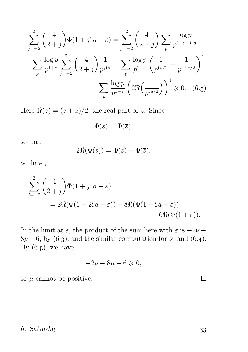$$
\sum_{j=-2}^{2} {4 \choose 2+j} \Phi(1+j)a + \varepsilon = \sum_{j=-2}^{2} {4 \choose 2+j} \sum_{p} \frac{\log p}{p^{1+\varepsilon+jia}}
$$

$$
= \sum_{p} \frac{\log p}{p^{1+\varepsilon}} \sum_{j=-2}^{2} {4 \choose 2+j} \frac{1}{p^{jia}} = \sum_{p} \frac{\log p}{p^{1+\varepsilon}} \left( \frac{1}{p^{i a/2}} + \frac{1}{p^{-i a/2}} \right)^4
$$

$$
= \sum_{p} \frac{\log p}{p^{1+\varepsilon}} \left( 2\Re\left(\frac{1}{p^{i a/2}}\right) \right)^4 \ge 0. \quad (6.5)
$$

Here  $\Re(z) = (z + \overline{z})/2$ , the real part of z. Since

$$
\overline{\Phi(s)} = \Phi(\overline{s}),
$$

so that

$$
2\Re(\Phi(s)) = \Phi(s) + \Phi(\overline{s}),
$$

we have,

$$
\sum_{j=-2}^{2} {4 \choose 2+j} \Phi(1+jia+\varepsilon)
$$
  
=  $2\Re(\Phi(1+2ia+\varepsilon)) + 8\Re(\Phi(1+ia+\varepsilon)) + 6\Re(\Phi(1+\varepsilon)).$ 

In the limit at  $\varepsilon$ , the product of the sum here with  $\varepsilon$  is  $-2\nu$  −  $8\mu + 6$ , by (6.3), and the similar computation for  $\nu$ , and (6.4). By  $(6.5)$ , we have

$$
-2\nu - 8\mu + 6 \geqslant 0,
$$

so  $\mu$  cannot be positive.

#### . Saturday

 $\Box$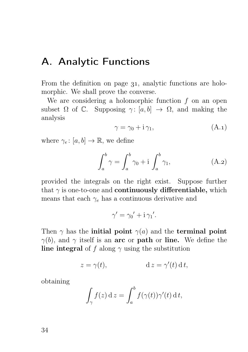### A. Analytic Functions

From the definition on page 31, analytic functions are holomorphic. We shall prove the converse.

We are considering a holomorphic function  $f$  on an open subset  $\Omega$  of  $\mathbb{C}$ . Supposing  $\gamma: [a, b] \to \Omega$ , and making the analysis

$$
\gamma = \gamma_0 + i \gamma_1,\tag{A.1}
$$

where  $\gamma_e: [a, b] \to \mathbb{R}$ , we define

$$
\int_{a}^{b} \gamma = \int_{a}^{b} \gamma_{0} + i \int_{a}^{b} \gamma_{1}, \qquad (A.2)
$$

provided the integrals on the right exist. Suppose further that  $\gamma$  is one-to-one and **continuously differentiable**, which means that each  $\gamma_e$  has a continuous derivative and

$$
\gamma' = \gamma_0' + i \gamma_1'.
$$

Then  $\gamma$  has the **initial point**  $\gamma(a)$  and the **terminal point**  $\gamma(b)$ , and  $\gamma$  itself is an arc or path or line. We define the line integral of f along  $\gamma$  using the substitution

$$
z = \gamma(t), \qquad \qquad d \, z = \gamma'(t) \, d \, t,
$$

obtaining

$$
\int_{\gamma} f(z) \, \mathrm{d}z = \int_{a}^{b} f(\gamma(t)) \gamma'(t) \, \mathrm{d}t,
$$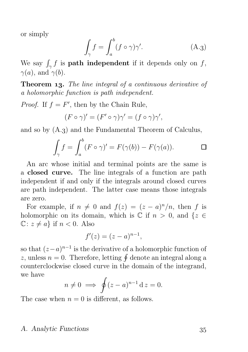or simply

$$
\int_{\gamma} f = \int_{a}^{b} (f \circ \gamma) \gamma'. \tag{A.3}
$$

We say  $\int_{\gamma} f$  is **path independent** if it depends only on f,  $\gamma(a)$ , and  $\gamma(b)$ .

**Theorem 13.** The line integral of a continuous derivative of a holomorphic function is path independent.

*Proof.* If  $f = F'$ , then by the Chain Rule,

$$
(F \circ \gamma)' = (F' \circ \gamma)\gamma' = (f \circ \gamma)\gamma',
$$

and so by  $(A<sub>.3</sub>)$  and the Fundamental Theorem of Calculus,

$$
\int_{\gamma} f = \int_{a}^{b} (F \circ \gamma)' = F(\gamma(b)) - F(\gamma(a)). \qquad \Box
$$

An arc whose initial and terminal points are the same is a closed curve. The line integrals of a function are path independent if and only if the integrals around closed curves are path independent. The latter case means those integrals are zero.

For example, if  $n \neq 0$  and  $f(z) = (z - a)^n/n$ , then f is holomorphic on its domain, which is  $\mathbb C$  if  $n > 0$ , and  $\{z \in$  $\mathbb{C}: z \neq a$  if  $n < 0$ . Also

$$
f'(z) = (z - a)^{n-1},
$$

so that  $(z-a)^{n-1}$  is the derivative of a holomorphic function of z, unless  $n = 0$ . Therefore, letting  $\oint$  denote an integral along a counterclockwise closed curve in the domain of the integrand, we have

$$
n \neq 0 \implies \oint (z-a)^{n-1} \,\mathrm{d}z = 0.
$$

The case when  $n = 0$  is different, as follows.

#### A. Analytic Functions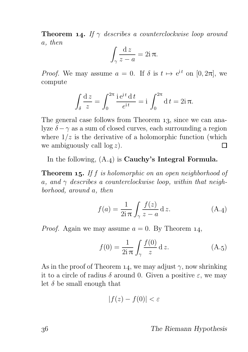**Theorem 14.** If  $\gamma$  describes a counterclockwise loop around a, then

$$
\int_{\gamma} \frac{\mathrm{d}z}{z-a} = 2\mathrm{i}\,\pi.
$$

*Proof.* We may assume  $a = 0$ . If  $\delta$  is  $t \mapsto e^{it}$  on  $[0, 2\pi]$ , we compute

$$
\int_{\delta} \frac{\mathrm{d}z}{z} = \int_0^{2\pi} \frac{\mathrm{i}e^{\mathrm{i}t} \,\mathrm{d}t}{e^{\mathrm{i}t}} = \mathrm{i} \int_0^{2\pi} \mathrm{d}t = 2\mathrm{i}\,\pi.
$$

The general case follows from Theorem 13, since we can analyze  $\delta - \gamma$  as a sum of closed curves, each surrounding a region where  $1/z$  is the derivative of a holomorphic function (which we ambiguously call  $\log z$ ).  $\Box$ 

In the following,  $(A_4)$  is **Cauchy's Integral Formula.** 

**Theorem 15.** If f is holomorphic on an open neighborhood of a, and  $\gamma$  describes a counterclockwise loop, within that neighborhood, around a, then

$$
f(a) = \frac{1}{2i\pi} \int_{\gamma} \frac{f(z)}{z - a} dz.
$$
 (A.4)

*Proof.* Again we may assume  $a = 0$ . By Theorem 14,

$$
f(0) = \frac{1}{2i\pi} \int_{\gamma} \frac{f(0)}{z} dz.
$$
 (A.5)

As in the proof of Theorem 14, we may adjust  $\gamma$ , now shrinking it to a circle of radius  $\delta$  around 0. Given a positive  $\varepsilon$ , we may let  $\delta$  be small enough that

$$
|f(z) - f(0)| < \varepsilon
$$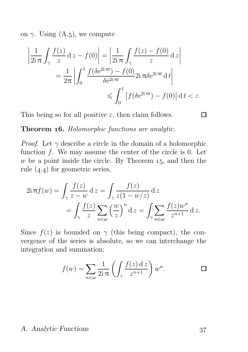on  $\gamma$ . Using (A.5), we compute

$$
\left| \frac{1}{2i\pi} \int_{\gamma} \frac{f(z)}{z} dz - f(0) \right| = \left| \frac{1}{2i\pi} \int_{\gamma} \frac{f(z) - f(0)}{z} dz \right|
$$
  
= 
$$
\frac{1}{2\pi} \left| \int_{0}^{1} \frac{f(\delta e^{2i\pi t}) - f(0)}{\delta e^{2i\pi t}} 2i\pi \delta e^{2i\pi t} dt \right|
$$
  

$$
\leq \int_{0}^{1} \left| f(\delta e^{2i\pi t}) - f(0) \right| dt < \varepsilon.
$$

This being so for all positive  $\varepsilon$ , then claim follows.

 $\Box$ 

Theorem 16. Holomorphic functions are analytic.

*Proof.* Let  $\gamma$  describe a circle in the domain of a holomorphic function  $f$ . We may assume the center of the circle is 0. Let w be a point inside the circle. By Theorem  $15$ , and then the rule  $(4.4)$  for geometric series,

$$
2i\pi f(w) = \int_{\gamma} \frac{f(z)}{z - w} dz = \int_{\gamma} \frac{f(z)}{z(1 - w/z)} dz
$$
  
= 
$$
\int_{\gamma} \frac{f(z)}{z} \sum_{n \in \omega} \left(\frac{w}{z}\right)^n dz = \int_{\gamma} \sum_{n \in \omega} \frac{f(z)w^n}{z^{n+1}} dz.
$$

Since  $f(z)$  is bounded on  $\gamma$  (this being compact), the convergence of the series is absolute, so we can interchange the integration and summation:

$$
f(w) = \sum_{n \in \omega} \frac{1}{2i\pi} \left( \int_{\gamma} \frac{f(z) \, dz}{z^{n+1}} \right) w^n.
$$

#### A. Analytic Functions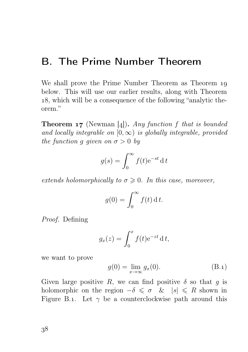### B. The Prime Number Theorem

We shall prove the Prime Number Theorem as Theorem 10 below. This will use our earlier results, along with Theorem , which will be a consequence of the following "analytic theorem."

**Theorem 17** (Newman [4]). Any function f that is bounded and locally integrable on  $[0, \infty)$  is globally integrable, provided the function g given on  $\sigma > 0$  by

$$
g(s) = \int_0^\infty f(t)e^{-st} dt
$$

extends holomorphically to  $\sigma \geq 0$ . In this case, moreover,

$$
g(0) = \int_0^\infty f(t) \, \mathrm{d} \, t.
$$

Proof. Defining

$$
g_x(z) = \int_0^x f(t) e^{-zt} dt,
$$

we want to prove

$$
g(0) = \lim_{x \to \infty} g_x(0). \tag{B.1}
$$

Given large positive R, we can find positive  $\delta$  so that g is holomorphic on the region  $-\delta \leq \sigma \leq k$  |s|  $\leq R$  shown in Figure B.1. Let  $\gamma$  be a counterclockwise path around this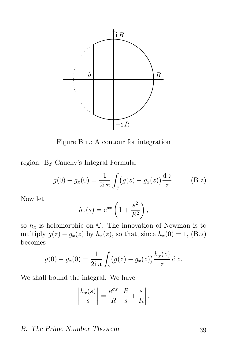

Figure B.1.: A contour for integration

region. By Cauchy's Integral Formula,

$$
g(0) - g_x(0) = \frac{1}{2i\pi} \int_{\gamma} (g(z) - g_x(z)) \frac{dz}{z}.
$$
 (B.2)

Now let

$$
h_x(s) = e^{sx} \left( 1 + \frac{s^2}{R^2} \right),
$$

so  $h_x$  is holomorphic on  $\mathbb{C}$ . The innovation of Newman is to multiply  $g(z) - g_x(z)$  by  $h_x(z)$ , so that, since  $h_x(0) = 1$ , (B.2) becomes

$$
g(0) - g_x(0) = \frac{1}{2i\,\pi} \int_{\gamma} (g(z) - g_x(z)) \frac{h_x(z)}{z} \,dz.
$$

We shall bound the integral. We have

$$
\left|\frac{h_x(s)}{s}\right| = \frac{e^{\sigma x}}{R}\left|\frac{R}{s} + \frac{s}{R}\right|,
$$

#### B. The Prime Number Theorem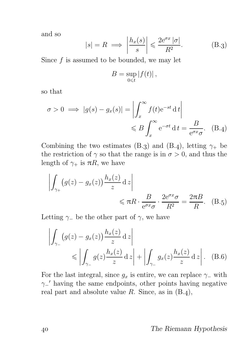and so

$$
|s| = R \implies \left| \frac{h_x(s)}{s} \right| \leq \frac{2e^{\sigma x} |\sigma|}{R^2}.
$$
 (B.3)

Since  $f$  is assumed to be bounded, we may let

$$
B=\sup_{0\leq t}|f(t)|,
$$

so that

$$
\sigma > 0 \implies |g(s) - g_x(s)| = \left| \int_x^{\infty} f(t)e^{-st} dt \right|
$$
  

$$
\leq B \int_x^{\infty} e^{-\sigma t} dt = \frac{B}{e^{\sigma x} \sigma}.
$$
 (B.4)

Combining the two estimates (B.3) and (B.4), letting  $\gamma_+$  be the restriction of  $\gamma$  so that the range is in  $\sigma > 0$ , and thus the length of  $\gamma_+$  is  $\pi R$ , we have

$$
\left| \int_{\gamma_+} (g(z) - g_x(z)) \frac{h_x(z)}{z} dz \right| \leq \pi R \cdot \frac{B}{e^{\sigma x} \sigma} \cdot \frac{2e^{\sigma x} \sigma}{R^2} = \frac{2\pi B}{R}.
$$
 (B.5)

Letting  $\gamma$  be the other part of  $\gamma$ , we have

$$
\left| \int_{\gamma_-} (g(z) - g_x(z)) \frac{h_x(z)}{z} dz \right| \le \left| \int_{\gamma_-} g(z) \frac{h_x(z)}{z} dz \right| + \left| \int_{\gamma_-} g_x(z) \frac{h_x(z)}{z} dz \right|.
$$
 (B.6)

For the last integral, since  $g_x$  is entire, we can replace  $\gamma$  with  $\gamma$ <sup>-'</sup> having the same endpoints, other points having negative real part and absolute value  $R$ . Since, as in  $(B.4)$ ,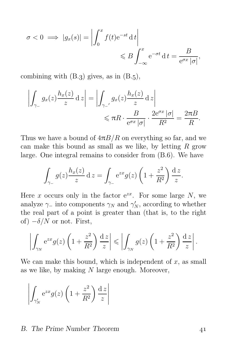$$
\sigma < 0 \implies |g_x(s)| = \left| \int_0^x f(t) e^{-st} \, \mathrm{d} \, t \right| \leqslant B \int_{-\infty}^x e^{-\sigma t} \, \mathrm{d} \, t = \frac{B}{e^{\sigma x} \, |\sigma|},
$$

combining with  $(B.3)$  gives, as in  $(B.5)$ ,

$$
\left| \int_{\gamma_-} g_x(z) \frac{h_x(z)}{z} dz \right| = \left| \int_{\gamma_-'} g_x(z) \frac{h_x(z)}{z} dz \right|
$$
  

$$
\leq \pi R \cdot \frac{B}{e^{\sigma x} |\sigma|} \cdot \frac{2e^{\sigma x} |\sigma|}{R^2} = \frac{2\pi B}{R}.
$$

Thus we have a bound of  $4\pi B/R$  on everything so far, and we can make this bound as small as we like, by letting  $R$  grow large. One integral remains to consider from  $(B.6)$ . We have

$$
\int_{\gamma_-} g(z) \frac{h_x(z)}{z} dz = \int_{\gamma_-} e^{zx} g(z) \left( 1 + \frac{z^2}{R^2} \right) \frac{dz}{z}.
$$

Here x occurs only in the factor  $e^{zx}$ . For some large N, we analyze  $\gamma$ <sub>−</sub> into components  $\gamma_N$  and  $\gamma'_N$ , according to whether the real part of a point is greater than (that is, to the right of)  $-\delta/N$  or not. First,

$$
\left| \int_{\gamma_N} e^{zx} g(z) \left( 1 + \frac{z^2}{R^2} \right) \frac{dz}{z} \right| \leqslant \left| \int_{\gamma_N} g(z) \left( 1 + \frac{z^2}{R^2} \right) \frac{dz}{z} \right|.
$$

We can make this bound, which is independent of  $x$ , as small as we like, by making  $N$  large enough. Moreover,

$$
\left| \int_{\gamma'_N} e^{zx} g(z) \left( 1 + \frac{z^2}{R^2} \right) \frac{dz}{z} \right|
$$

#### B. The Prime Number Theorem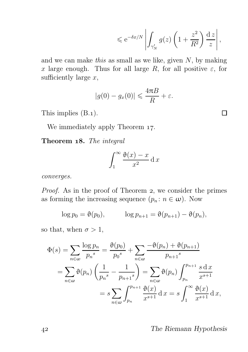$$
\leqslant e^{-\delta x/N} \left| \int_{\gamma'_N} g(z) \left( 1 + \frac{z^2}{R^2} \right) \frac{dz}{z} \right|,
$$

Π

and we can make this as small as we like, given  $N$ , by making x large enough. Thus for all large R, for all positive  $\varepsilon$ , for sufficiently large  $x$ ,

$$
|g(0) - g_x(0)| \leq \frac{4\pi B}{R} + \varepsilon.
$$

This implies  $(B.1)$ .

We immediately apply Theorem 17.

Theorem 18. The integral

$$
\int_{1}^{\infty} \frac{\vartheta(x) - x}{x^2} \, \mathrm{d}x
$$

converges.

Proof. As in the proof of Theorem 2, we consider the primes as forming the increasing sequence  $(p_n : n \in \omega)$ . Now

$$
\log p_0 = \vartheta(p_0), \qquad \log p_{n+1} = \vartheta(p_{n+1}) - \vartheta(p_n),
$$

so that, when  $\sigma > 1$ ,

$$
\Phi(s) = \sum_{n \in \omega} \frac{\log p_n}{p_n^s} = \frac{\vartheta(p_0)}{p_0^s} + \sum_{n \in \omega} \frac{-\vartheta(p_n) + \vartheta(p_{n+1})}{p_{n+1}^s}
$$

$$
= \sum_{n \in \omega} \vartheta(p_n) \left(\frac{1}{p_n^s} - \frac{1}{p_{n+1}^s}\right) = \sum_{n \in \omega} \vartheta(p_n) \int_{p_n}^{p_{n+1}} \frac{s \, dx}{x^{s+1}}
$$

$$
= s \sum_{n \in \omega} \int_{p_n}^{p_{n+1}} \frac{\vartheta(x)}{x^{s+1}} dx = s \int_{1}^{\infty} \frac{\vartheta(x)}{x^{s+1}} dx,
$$

The Riemann Hypothesis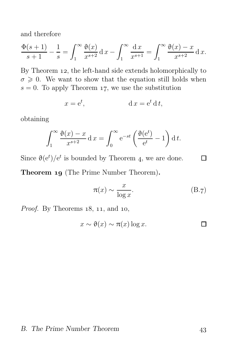and therefore

$$
\frac{\Phi(s+1)}{s+1} - \frac{1}{s} = \int_1^{\infty} \frac{\Phi(x)}{x^{s+2}} dx - \int_1^{\infty} \frac{dx}{x^{s+1}} = \int_1^{\infty} \frac{\Phi(x) - x}{x^{s+2}} dx.
$$

By Theorem 12, the left-hand side extends holomorphically to  $\sigma \geq 0$ . We want to show that the equation still holds when  $s = 0$ . To apply Theorem 17, we use the substitution

$$
x = e^t, \qquad \qquad d\,x = e^t\,d\,t,
$$

obtaining

$$
\int_1^{\infty} \frac{\vartheta(x) - x}{x^{s+2}} dx = \int_0^{\infty} e^{-st} \left( \frac{\vartheta(e^t)}{e^t} - 1 \right) dt.
$$

Since  $\vartheta(e^t)/e^t$  is bounded by Theorem 4, we are done.  $\Box$ Theorem 19 (The Prime Number Theorem).

$$
\pi(x) \sim \frac{x}{\log x}.\tag{B.7}
$$

*Proof.* By Theorems  $18$ ,  $11$ , and  $10$ ,

$$
x \sim \vartheta(x) \sim \pi(x) \log x.
$$

#### B. The Prime Number Theorem